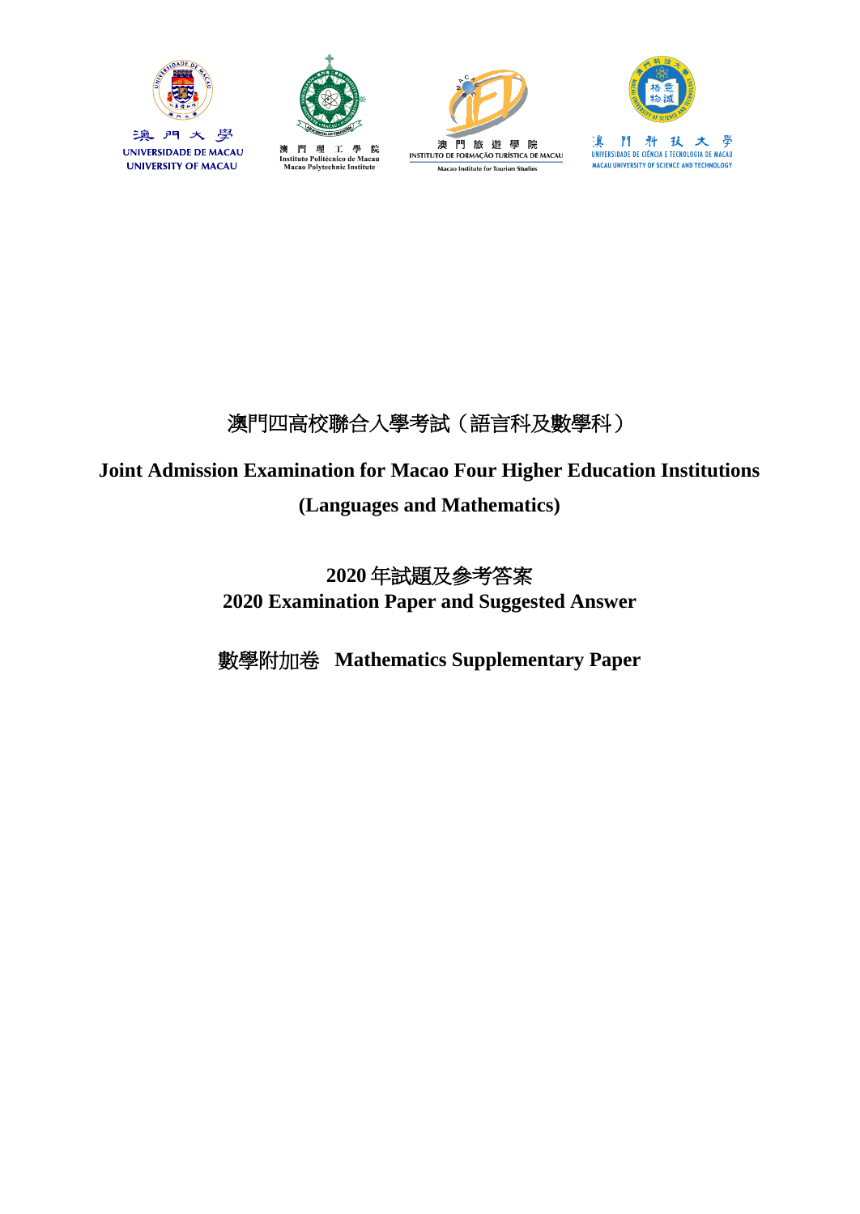



Instituto Politécnico de Macau<br>Macao Polytechnic Institute

澳





澳門四高校聯合入學考試(語言科及數學科)

# **Joint Admission Examination for Macao Four Higher Education Institutions**

### **(Languages and Mathematics)**

## **2020** 年試題及參考答案 **2020 Examination Paper and Suggested Answer**

數學附加卷 **Mathematics Supplementary Paper**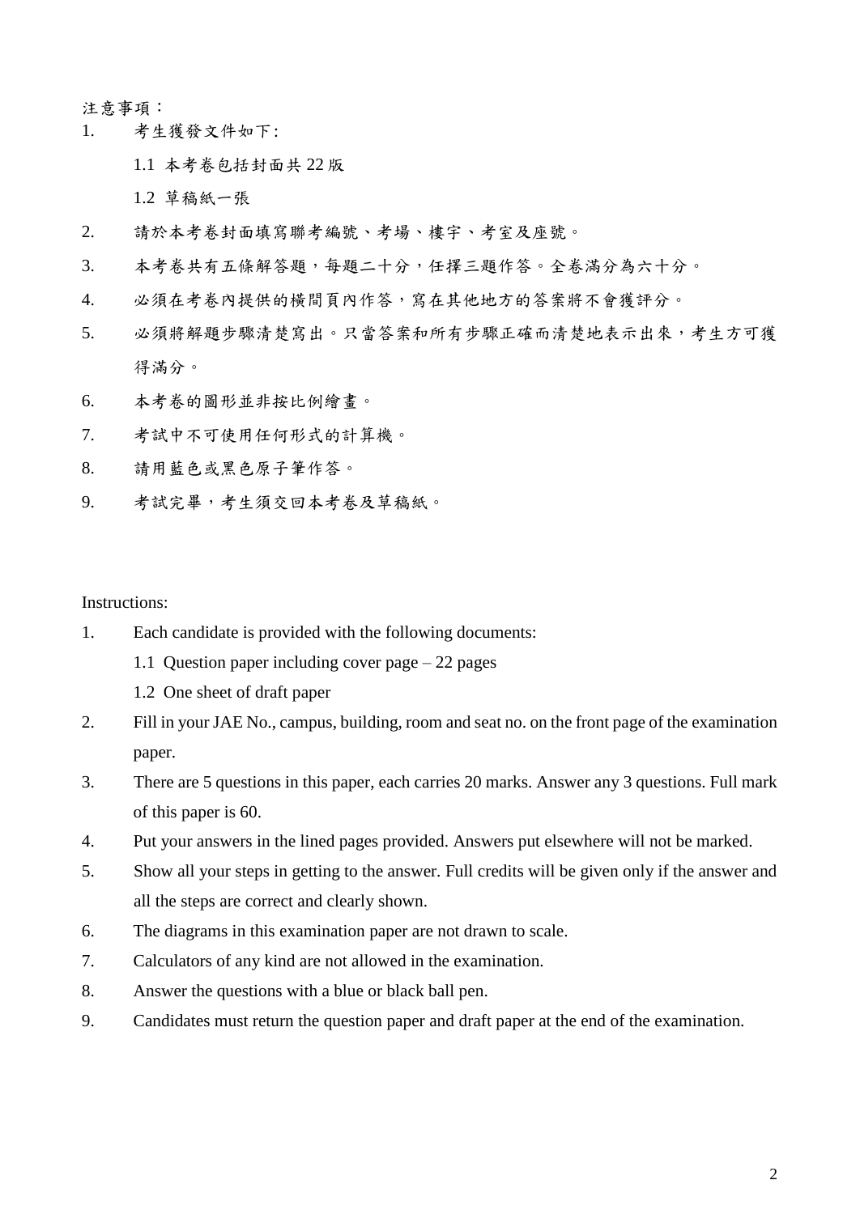#### 注意事項:

1. 考生獲發文件如下:

1.1 本考卷包括封面共 22 版

1.2 草稿紙一張

- 2. 請於本考卷封面填寫聯考編號、考場、樓宇、考室及座號。
- 3. 本考卷共有五條解答題,每題二十分,任擇三題作答。全卷滿分為六十分。
- 4. 必須在考卷內提供的橫間頁內作答,寫在其他地方的答案將不會獲評分。
- 5. 必須將解題步驟清楚寫出。只當答案和所有步驟正確而清楚地表示出來,考生方可獲 得滿分。
- 6. 本考卷的圖形並非按比例繪畫。
- 7. 考試中不可使用任何形式的計算機。
- 8. 請用藍色或黑色原子筆作答。
- 9. 考試完畢,考生須交回本考卷及草稿紙。

Instructions:

- 1. Each candidate is provided with the following documents:
	- 1.1 Question paper including cover page 22 pages
	- 1.2 One sheet of draft paper
- 2. Fill in your JAE No., campus, building, room and seat no. on the front page of the examination paper.
- 3. There are 5 questions in this paper, each carries 20 marks. Answer any 3 questions. Full mark of this paper is 60.
- 4. Put your answers in the lined pages provided. Answers put elsewhere will not be marked.
- 5. Show all your steps in getting to the answer. Full credits will be given only if the answer and all the steps are correct and clearly shown.
- 6. The diagrams in this examination paper are not drawn to scale.
- 7. Calculators of any kind are not allowed in the examination.
- 8. Answer the questions with a blue or black ball pen.
- 9. Candidates must return the question paper and draft paper at the end of the examination.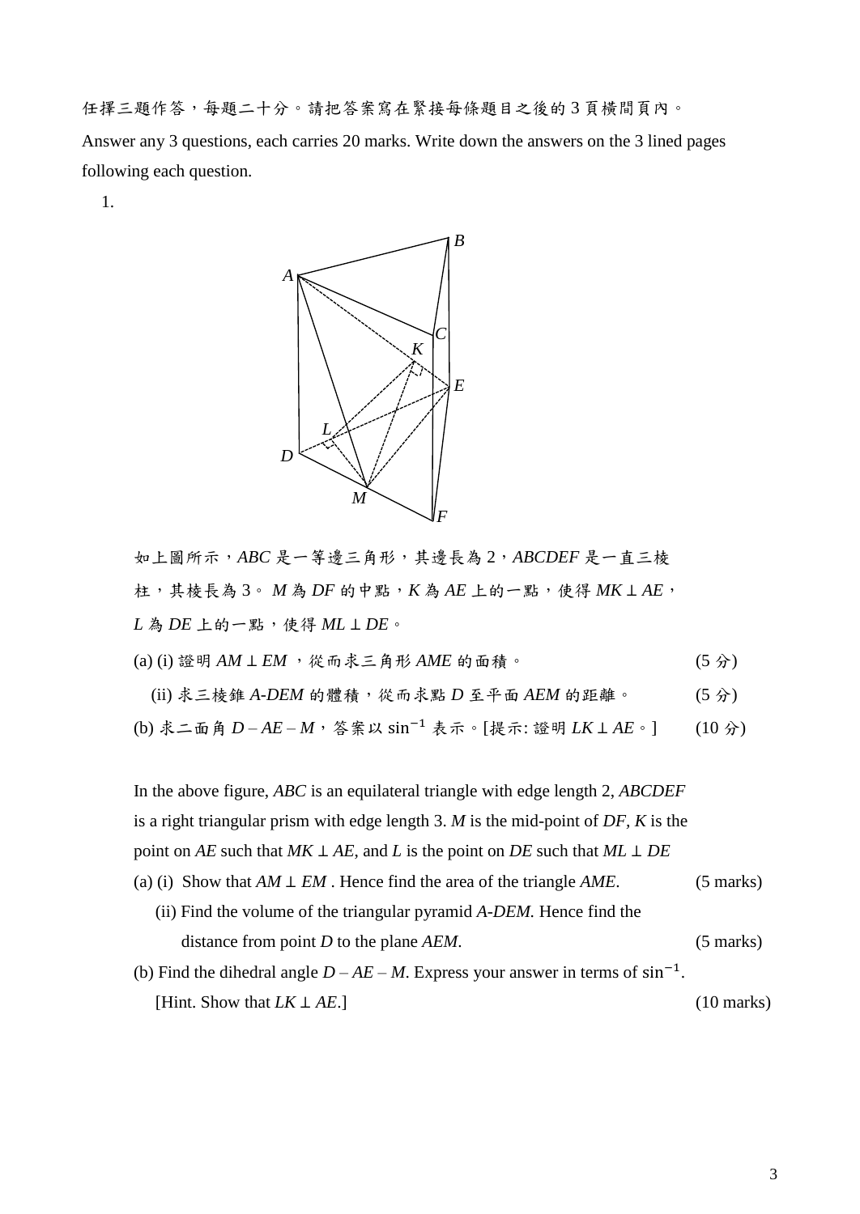任擇三題作答,每題二十分。請把答案寫在緊接每條題目之後的 3 頁橫間頁內。 Answer any 3 questions, each carries 20 marks. Write down the answers on the 3 lined pages following each question.

1.



如上圖所示,*ABC* 是一等邊三角形,其邊長為 2,*ABCDEF* 是一直三棱 柱,其棱長為 3。 *M* 為 *DF* 的中點,*K* 為 *AE* 上的一點,使得 *MK* ⊥ *AE*, *L* 為 *DE* 上的一點,使得 *ML* ⊥ *DE*。

- (a) (i) 證明 *AM* ⊥ *EM* ,從而求三角形 *AME* 的面積。 (5 分)
- (ii) 求三棱錐 *A-DEM* 的體積,從而求點 *D* 至平面 *AEM* 的距離。 (5 分)

(b) 求二面角 *D* – *AE* – *M*,答案以 sin−1 表示。[提示: 證明 *LK* ⊥ *AE*。] (10 分)

In the above figure, *ABC* is an equilateral triangle with edge length 2, *ABCDEF* is a right triangular prism with edge length 3. *M* is the mid-point of *DF, K* is the point on *AE* such that  $MK \perp AE$ , and *L* is the point on *DE* such that  $ML \perp DE$ (a) (i) Show that *AM* ⊥ *EM* . Hence find the area of the triangle *AME*. (5 marks) (ii) Find the volume of the triangular pyramid *A-DEM.* Hence find the distance from point *D* to the plane *AEM*. (5 marks) (b) Find the dihedral angle  $D - AE - M$ . Express your answer in terms of  $sin^{-1}$ . [Hint. Show that *LK* ⊥ *AE*.] (10 marks)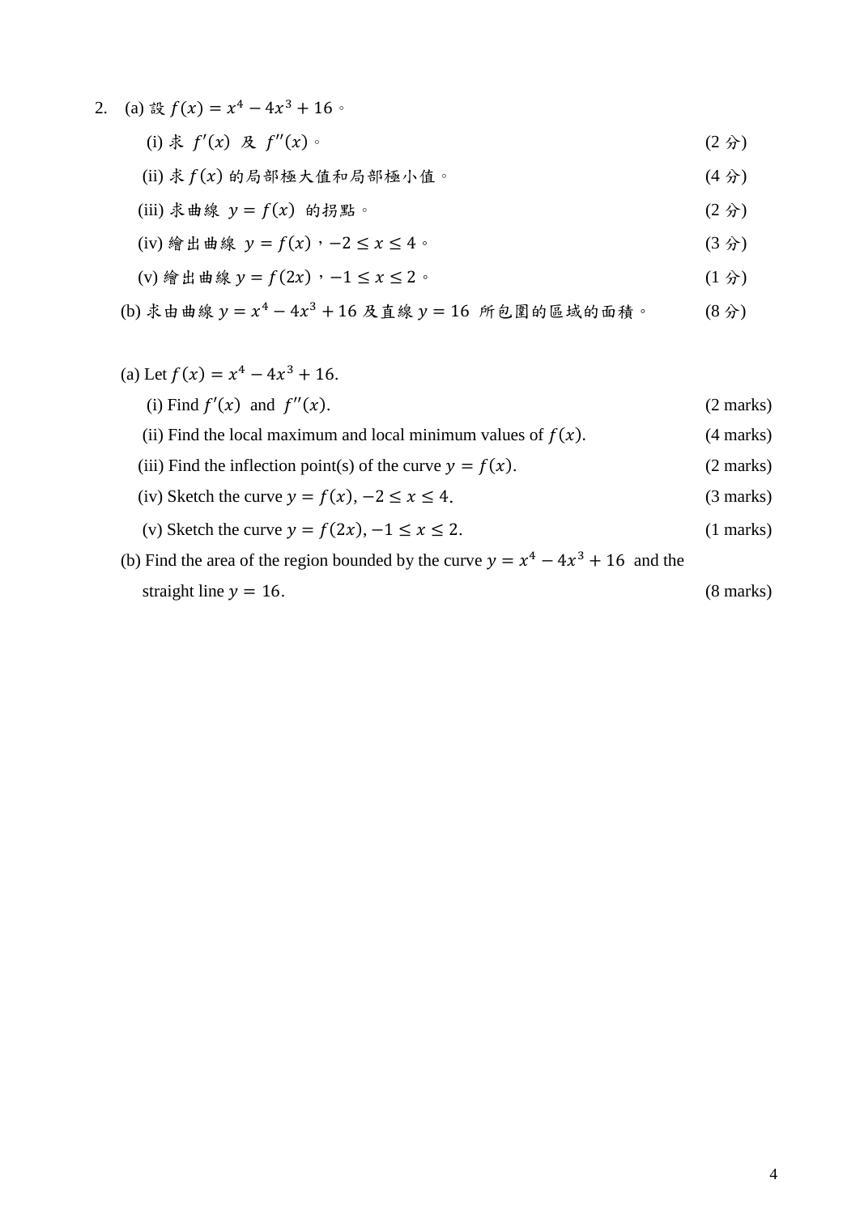- 2. (a) 設  $f(x) = x^4 4x^3 + 16$ 。 (i)  $\ddot{x}$   $f'(x)$   $\&$   $f''(x)$   $\circ$  (2  $\dot{x}$ )
	- (ii) 求 $f(x)$  的局部極大值和局部極小值。 (4分)
	- (iii) 求曲線  $y = f(x)$  的拐點。 (2 分)
	- (iv) 繪出曲線  $y = f(x)$ ,  $-2 \le x \le 4$ 。 (3 分)
	- (v) 繪出曲線  $y = f(2x) \cdot -1 \le x \le 2$ 。 (1 分)

(b) 来由צ
$$
y = x^4 - 4x^3 + 16
$$
 及直線  $y = 16$  所包括或的面積。 (8分)

## (a) Let  $f(x) = x^4 - 4x^3 + 16$ . (i) Find  $f'(x)$  and  $f''(x)$ . (2 marks) (ii) Find the local maximum and local minimum values of  $f(x)$ . (4 marks) (iii) Find the inflection point(s) of the curve  $y = f(x)$ . (2 marks) (iv) Sketch the curve  $y = f(x), -2 \le x \le 4$ . (3 marks) (v) Sketch the curve  $y = f(2x)$ ,  $-1 \le x \le 2$ . (1 marks)

(b) Find the area of the region bounded by the curve  $y = x^4 - 4x^3 + 16$  and the straight line  $y = 16$ . (8 marks)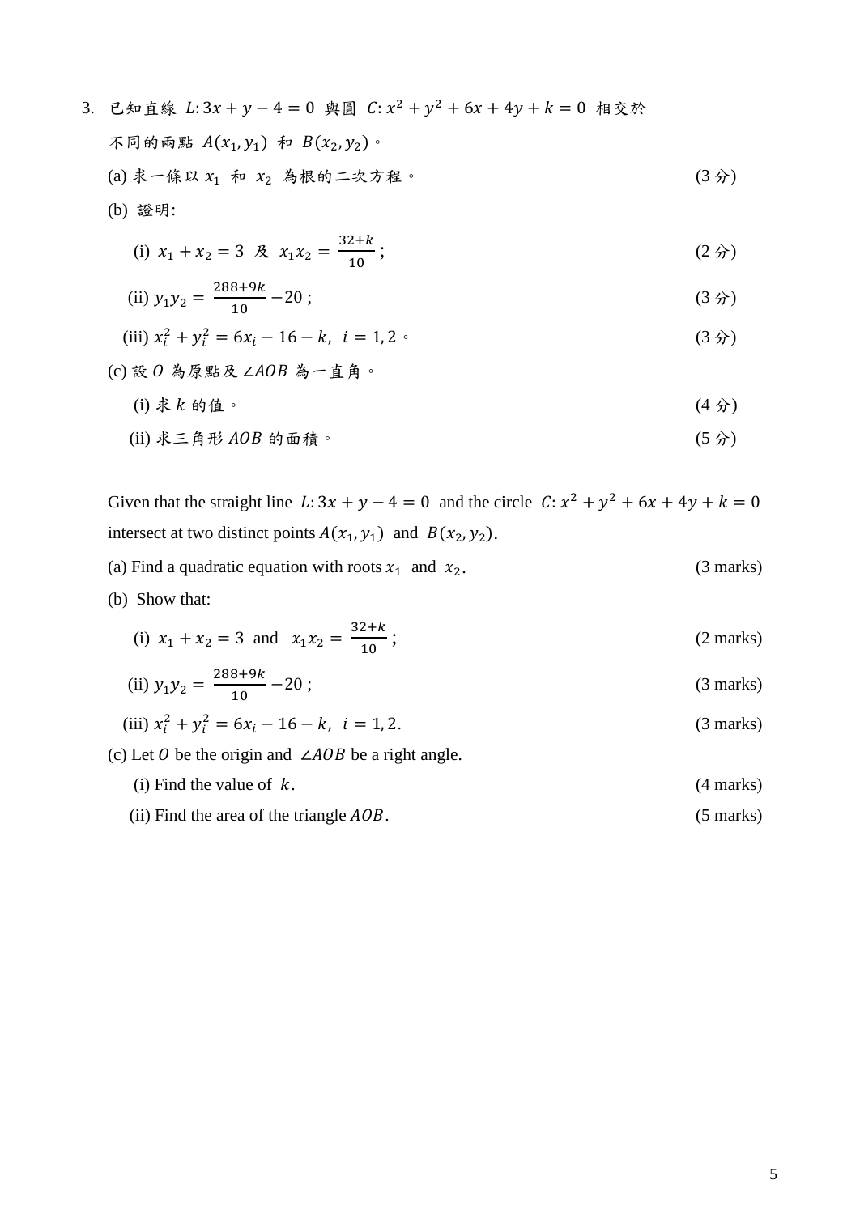3. 已知直線 L:3x + y - 4 = 0 與圓 C:  $x^2 + y^2 + 6x + 4y + k = 0$  相交於 不同的兩點  $A(x_1, y_1)$  和  $B(x_2, y_2)$ 。 (a) 求一條以  $x_1$  和  $x_2$  為根的二次方程。 (3分) (b) 證明: (i)  $x_1 + x_2 = 3$   $\&$   $x_1 x_2 = \frac{32+k}{10}$ 10 ; (2 分) (ii)  $y_1 y_2 = \frac{288 + 9k}{10}$ 10  $-20$ ; (3  $\hat{y}$ ) (iii)  $x_i^2 + y_i^2 = 6x_i - 16 - k$ ,  $i = 1, 2$  (3  $\hat{y}$ ) (c)設  $0$ 為原點及 ∠ $AOB A - \textit{i} A$ 。 (i) 求  $k$  的值。 (4 分) (ii) 求三角形  $A$   $\Omega$  R 的面積。 (5 分)

$$
(1) 4 - \beta \sqrt{100} \text{ by } \ln \sqrt{10}
$$

Given that the straight line  $L: 3x + y - 4 = 0$  and the circle  $C: x^2 + y^2 + 6x + 4y + k = 0$ intersect at two distinct points  $A(x_1, y_1)$  and  $B(x_2, y_2)$ .

- (a) Find a quadratic equation with roots  $x_1$  and  $x_2$ . (3 marks)
- (b) Show that:

(i) 
$$
x_1 + x_2 = 3
$$
 and  $x_1 x_2 = \frac{32 + k}{10}$ ; (2 marks)

(ii) 
$$
y_1 y_2 = \frac{288 + 9k}{10} - 20
$$
; (3 marks)

(iii) 
$$
x_i^2 + y_i^2 = 6x_i - 16 - k
$$
,  $i = 1, 2$ . (3 marks)

(c) Let 0 be the origin and  $\angle AOB$  be a right angle.

- (i) Find the value of  $k$ . (4 marks)
- (ii) Find the area of the triangle  $AOB$ .  $(5 \text{ marks})$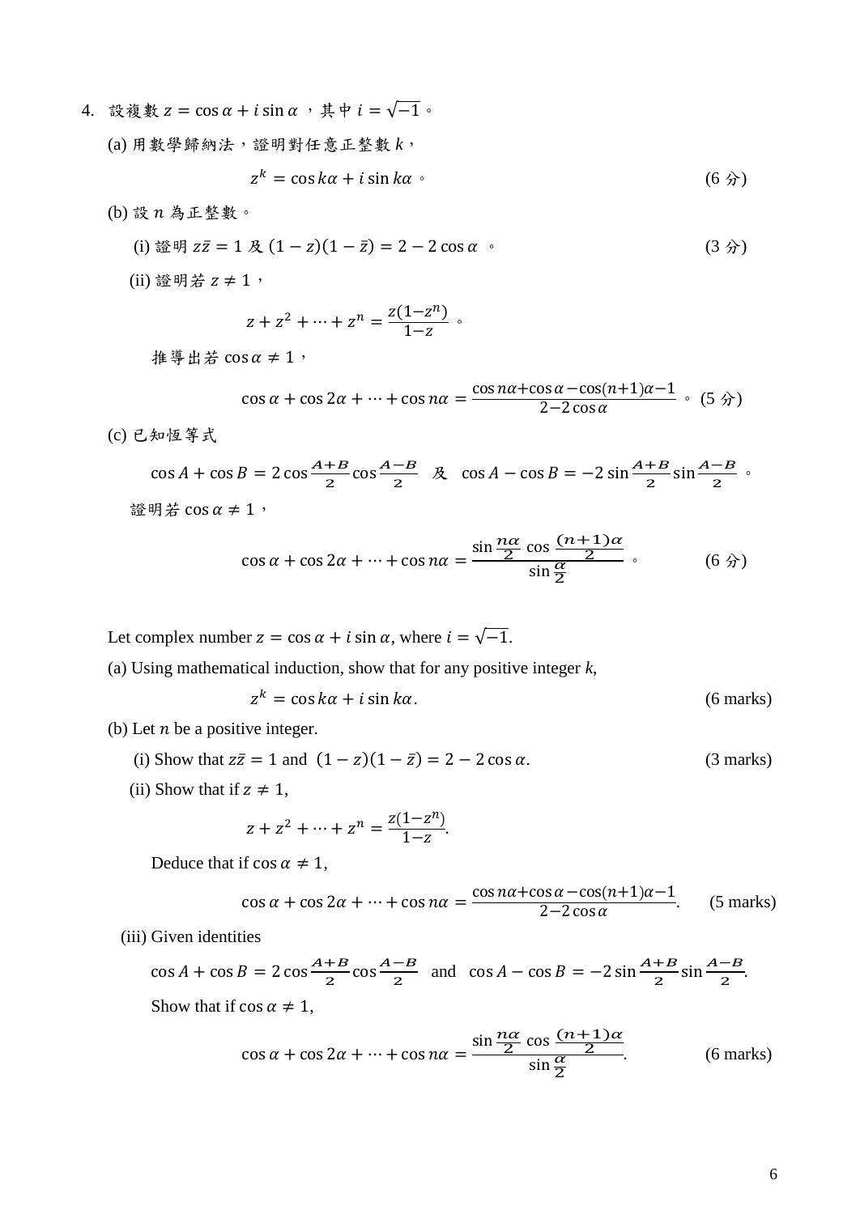- 4. 設複數  $z = \cos \alpha + i \sin \alpha$ , 其中  $i = \sqrt{-1}$ 。
	- (a) 用數學歸納法,證明對任意正整數 *k*,

$$
z^k = \cos k\alpha + i\sin k\alpha \tag{6} \hat{B}
$$

 $(b)$ 設 $n$ 為正整數。

(i) 
$$
\mathbb{E} \mathbb{H} z\bar{z} = 1 \mathbb{R} (1 - z)(1 - \bar{z}) = 2 - 2\cos\alpha
$$
 (3)

(ii) 證明若  $z ≠ 1$ ,

$$
z + z^2 + \dots + z^n = \frac{z(1 - z^n)}{1 - z} \; .
$$

推導出若 cos  $\alpha \neq 1$ ,

$$
\cos \alpha + \cos 2\alpha + \dots + \cos n\alpha = \frac{\cos n\alpha + \cos \alpha - \cos(n+1)\alpha - 1}{2 - 2\cos \alpha} \quad (5 \text{ s})
$$

(c) 已知恆等式

$$
\cos A + \cos B = 2 \cos \frac{A+B}{2} \cos \frac{A-B}{2} \quad \text{R} \quad \cos A - \cos B = -2 \sin \frac{A+B}{2} \sin \frac{A-B}{2} \quad \text{s}
$$
\n
$$
\text{Hence, } \sin A + B = 2 \cos \frac{A+B}{2} \cos \frac{A-B}{2} \quad \text{and} \quad \sin A + B = 2 \cos \frac{A+B}{2} \cos \frac{A-B}{2} \quad \text{and} \quad \sin A + B = 2 \cos \frac{A+B}{2} \cos \frac{A-B}{2} \quad \text{and} \quad \sin A + B = 2 \cos \frac{A+B}{2} \cos \frac{A-B}{2} \quad \text{and} \quad \sin A + B = 2 \cos \frac{A+B}{2} \cos \frac{A-B}{2} \quad \text{and} \quad \sin A + B = 2 \cos \frac{A+B}{2} \cos \frac{A-B}{2} \quad \text{and} \quad \sin A + B = 2 \cos \frac{A+B}{2} \cos \frac{A-B}{2} \quad \text{and} \quad \sin A + B = 2 \cos \frac{A+B}{2} \cos \frac{A-B}{2} \quad \text{and} \quad \sin A + B = 2 \cos \frac{A+B}{2} \sin \frac{A-B}{2} \quad \text{and} \quad \sin A + B = 2 \cos \frac{A+B}{2} \cos \frac{A-B}{2} \quad \text{and} \quad \sin A + B = 2 \cos \frac{A+B}{2} \cos \frac{A-B}{2} \quad \text{and} \quad \sin A + B = 2 \cos \frac{A+B}{2} \cos \frac{A-B}{2} \quad \text{and} \quad \sin A + B = 2 \cos \frac{A+B}{2} \cos \frac{A-B}{2} \quad \text{and} \quad \sin A + B = 2 \cos \frac{A+B}{2} \cos \frac{A-B}{2} \quad \text{and} \quad \sin A + B = 2 \cos \frac{A+B}{2} \cos \frac{A-B}{2} \quad \text{and} \quad \sin A + B = 2 \cos \frac{A+B}{2} \cos \frac{A-B}{2} \quad \text{and} \quad \sin A + B = 2 \cos \frac{A+B}{2} \cos \frac{A-B}{2} \quad \text{and} \quad \sin A + B = 2 \cos \frac{A+B}{2} \cos \frac{A-B}{2} \quad \text{and} \quad \sin A +
$$

$$
\cos \alpha + \cos 2\alpha + \dots + \cos n\alpha = \frac{\sin \frac{n\alpha}{2} \cos \frac{(n+1)\alpha}{2}}{\sin \frac{\alpha}{2}} \,,\tag{6.9}
$$

Let complex number  $z = \cos \alpha + i \sin \alpha$ , where  $i = \sqrt{-1}$ .

(a) Using mathematical induction, show that for any positive integer *k*,

$$
z^k = \cos k\alpha + i\sin k\alpha. \tag{6 marks}
$$

- (b) Let  $n$  be a positive integer.
	- (i) Show that  $z\overline{z} = 1$  and  $(1 z)(1 \overline{z}) = 2 2\cos\alpha$ . (3 marks)
	- (ii) Show that if  $z \neq 1$ ,

$$
z + z2 + \dots + zn = \frac{z(1 - zn)}{1 - z}.
$$

Deduce that if  $\cos \alpha \neq 1$ ,

$$
\cos \alpha + \cos 2\alpha + \dots + \cos n\alpha = \frac{\cos n\alpha + \cos \alpha - \cos(n+1)\alpha - 1}{2 - 2\cos \alpha}.
$$
 (5 marks)

(iii) Given identities

 $\cos A + \cos B = 2 \cos \frac{A+B}{2}$  $\frac{+B}{2} \cos \frac{A-B}{2}$  $\frac{-B}{2}$  and  $\cos A - \cos B = -2\sin\frac{A+B}{2}\sin\frac{A-B}{2}$ . Show that if  $\cos \alpha \neq 1$ ,

$$
\cos \alpha + \cos 2\alpha + \dots + \cos n\alpha = \frac{\sin \frac{n\alpha}{2} \cos \frac{(n+1)\alpha}{2}}{\sin \frac{\alpha}{2}}.
$$
 (6 marks)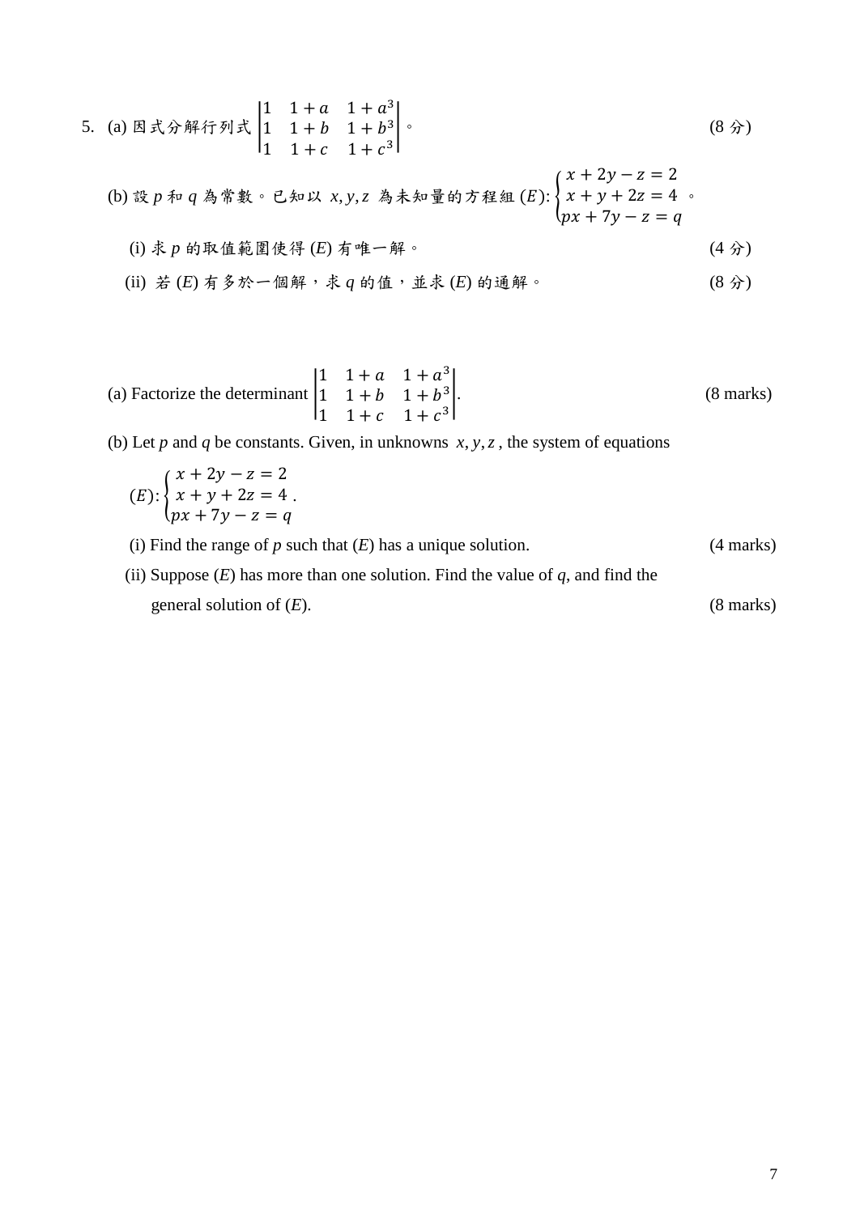5. (a) 因式分解行列式 
$$
\begin{vmatrix} 1 & 1+a & 1+a^3 \\ 1 & 1+b & 1+b^3 \\ 1 & 1+c & 1+c^3 \end{vmatrix}
$$
.\n

\n(b) 設*p* 有 *q* 為常數。已知以 *x*, *y*, *z* 為未知量的方経組*(E): 
$$
\begin{cases} x + 2y - z = 2 \\ x + y + 2z = 4 \\ px + 7y - z = q \end{cases}
$$*

\n(i) 水*p* 的取値ë国使得*(E)* 有م 中 - 解。\n

\n(ii) *法 (E)* 有多於一個解,末*q* 的値,並求*(E)* 的通解。

(a) Factorize the determinant 
$$
\begin{vmatrix} 1 & 1+a & 1+a^3 \\ 1 & 1+b & 1+b^3 \\ 1 & 1+c & 1+c^3 \end{vmatrix}
$$
. (8 marks)

(b) Let  $p$  and  $q$  be constants. Given, in unknowns  $x, y, z$ , the system of equations

(E): 
$$
\begin{cases} x + 2y - z = 2 \\ x + y + 2z = 4 \\ px + 7y - z = q \end{cases}
$$

(i) Find the range of  $p$  such that  $(E)$  has a unique solution. (4 marks)

(ii) Suppose  $(E)$  has more than one solution. Find the value of  $q$ , and find the general solution of (*E*). (8 marks)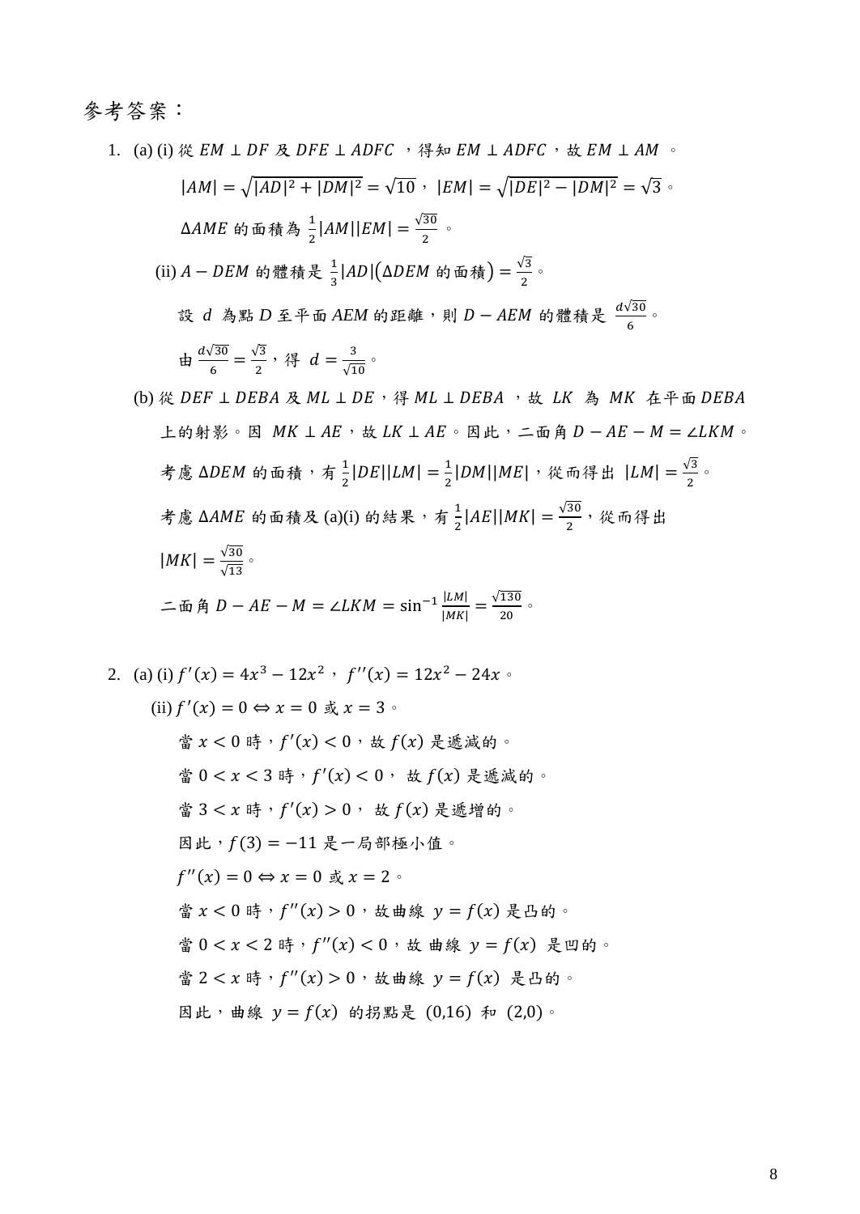### 參考答案:

1. (a) (i) 從  $EM \perp DF \nmathcal{R}$  DFE  $\perp$  ADFC, 得知  $EM \perp$  ADFC, 故  $EM \perp AM \sim$  $|AM| = \sqrt{|AD|^2 + |DM|^2} = \sqrt{10}$ ,  $|EM| = \sqrt{|DE|^2 - |DM|^2} = \sqrt{3}$  $\Delta AME$  的面積為  $\frac{1}{2} |AM||EM| = \frac{\sqrt{30}}{2}$ 。 (ii)  $A - DEM$  的體積是  $\frac{1}{3} |AD| (\Delta DEM \text{ in } \mathbb{A}) = \frac{\sqrt{3}}{2}$ 。 設 d 為點 D 至平面 AEM 的距離,則 D - AEM 的體積是  $\frac{d\sqrt{30}}{6}$ 。 由  $\frac{d\sqrt{30}}{6}$  $\frac{\sqrt{30}}{6} = \frac{\sqrt{3}}{2}$ , 得  $d = \frac{3}{\sqrt{10}}$ 。 (b) 從  $DEF \perp DEBA \not RML \perp DE$ , 得  $ML \perp DEBA$ , 故  $LK$  為  $MK$  在平面  $DEBA$ 上的射影。因  $MK \perp AE$ ,故  $LK \perp AE$ 。因此,二面角  $D - AE - M = \angle LKM$ 。 考慮 ΔDEM 的面積,有 $\frac{1}{3}$  $\frac{1}{2}$ |DE||LM| =  $\frac{1}{2}$  $\frac{1}{2}$ |DM||ME|, 從而得出 |LM| =  $\frac{\sqrt{3}}{2}$ 。 考慮 ΔAME 的面積及 (a)(i) 的結果,有  $\frac{1}{2}$ |AE||MK| =  $\frac{\sqrt{30}}{2}$ , 從而得出  $|MK| = \frac{\sqrt{30}}{\sqrt{13}}$ 二面角  $D - AE - M = \angle LKM = \sin^{-1} \frac{|LM|}{|MN|}$  $\frac{|LM|}{|MK|} = \frac{\sqrt{130}}{20}$ 

2. (a) (i)  $f'(x) = 4x^3 - 12x^2$ ,  $f''(x) = 12x^2 - 24x$ . (ii)  $f'(x) = 0 \Leftrightarrow x = 0 \le x = 3$ 當  $x < 0$  時,  $f'(x) < 0$ , 故 $f(x)$  是遞減的。 當  $0 < x < 3$  時,  $f'(x) < 0$ , 故 $f(x)$  是遞減的。 當  $3 < x$ 時,  $f'(x) > 0$ , 故 $f(x)$ 是遞增的。 因此, $f(3) = −11$ 是一局部極小值。  $f''(x) = 0 \Leftrightarrow x = 0 \text{ } \overset{\circ}{\mathfrak{R}} x = 2$ 當  $x < 0$  時,  $f''(x) > 0$ , 故曲線  $y = f(x)$ 是凸的。 當  $0 < x < 2$  時,  $f''(x) < 0$ , 故 曲線  $y = f(x)$  是凹的。 當  $2 < x$ 時,  $f''(x) > 0$ , 故曲線  $y = f(x)$ 是凸的。 因此, 曲線  $y = f(x)$  的拐點是 (0,16) 和 (2,0)。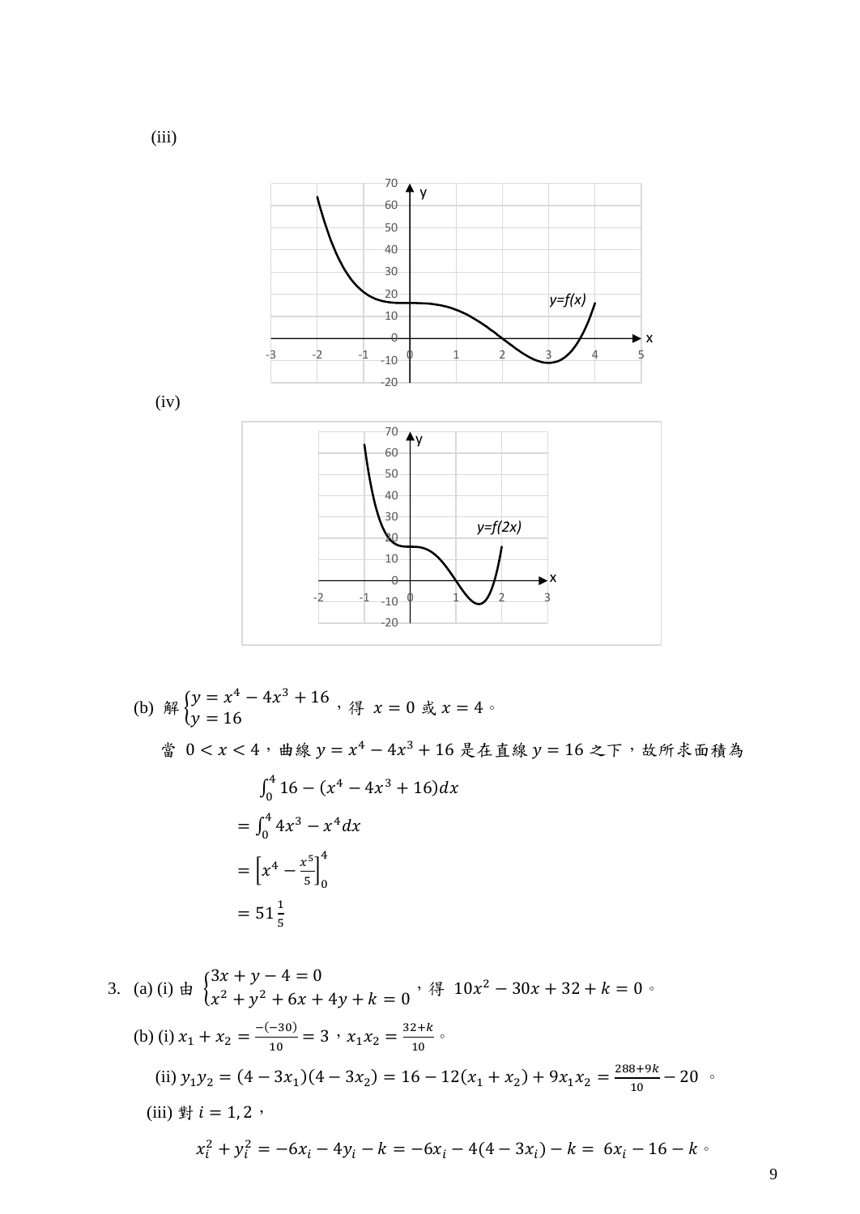

(b) 
$$
\Re \begin{cases} y = x^4 - 4x^3 + 16 \\ y = 16 \end{cases}
$$
,  $\Re \begin{cases} x = 0 \\ x = 4 \end{cases}$ 

當  $0 < x < 4$ , 曲線  $y = x^4 - 4x^3 + 16$ 是在直線  $y = 16$  之下, 故所求面積為

$$
\int_0^4 16 - (x^4 - 4x^3 + 16) dx
$$
  
= 
$$
\int_0^4 4x^3 - x^4 dx
$$
  
= 
$$
\left[ x^4 - \frac{x^5}{5} \right]_0^4
$$
  
= 
$$
51 \frac{1}{5}
$$

3. (a) (i)  $\pm$  }  $3x + y - 4 = 0$  $x^2 + y^2 + 6x + 4y + k = 0$ , 得  $10x^2 - 30x + 32 + k = 0$ . (b) (i)  $x_1 + x_2 = \frac{-(-30)}{10}$  $\frac{(-30)}{10} = 3 \cdot x_1 x_2 = \frac{32+k}{10}$ (ii)  $y_1 y_2 = (4 - 3x_1)(4 - 3x_2) = 16 - 12(x_1 + x_2) + 9x_1 x_2 = \frac{288 + 9k}{10}$  $\frac{10^{15}}{10} - 20$ (iii) 對  $i = 1, 2$ ,  $x_i^2 + y_i^2 = -6x_i - 4y_i - k = -6x_i - 4(4 - 3x_i) - k = 6x_i - 16 - k$ 

(iii)

9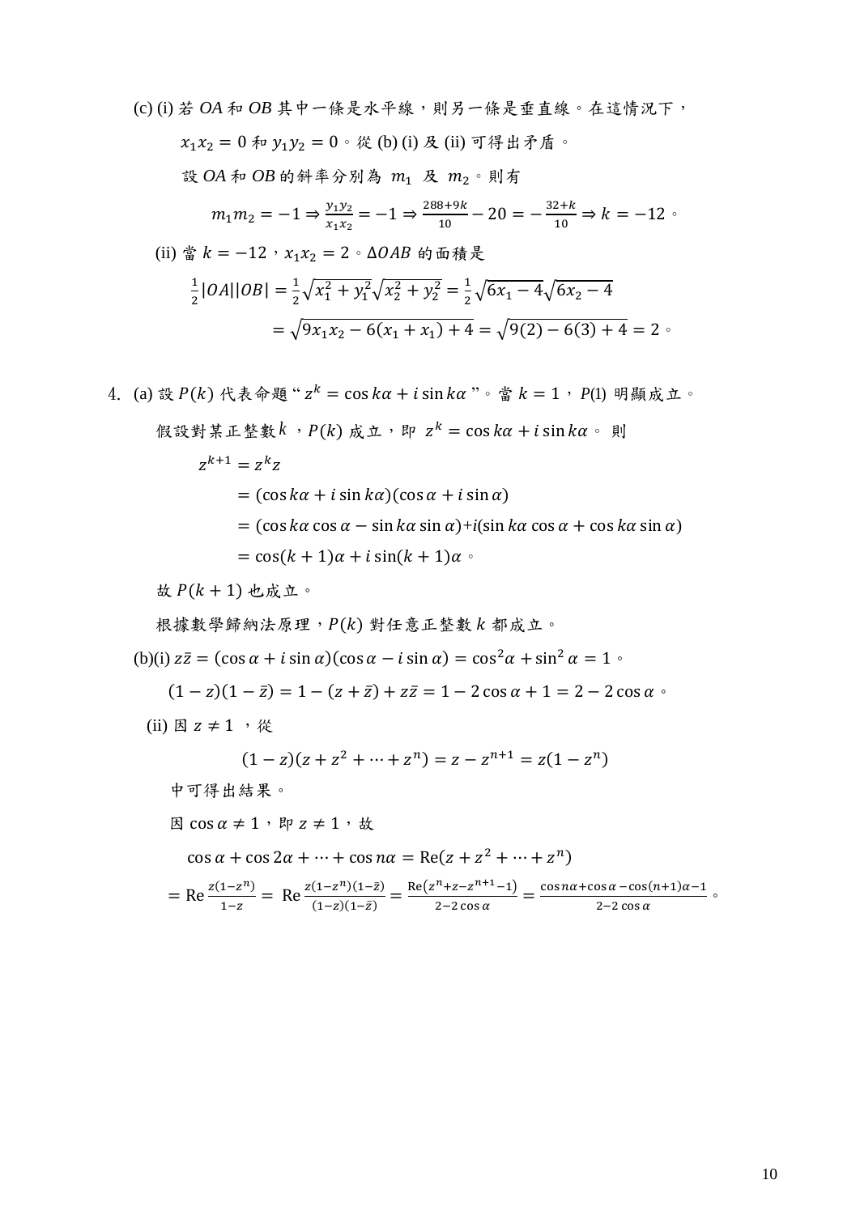(c) (i) 若 *OA* 和 *OB* 其中一條是水平線,則另一條是垂直線。在這情況下,  $x_1 x_2 = 0$ 和  $y_1 y_2 = 0$ 。從 (b) (i) 及 (ii) 可得出矛盾。 設 OA 和 OB 的斜率分別為 m1 及 m2。則有  $m_1 m_2 = -1 \Rightarrow \frac{y_1 y_2}{y_1 y_2}$  $\frac{y_1 y_2}{x_1 x_2} = -1 \Rightarrow \frac{288 + 9k}{10}$  $\frac{8+9k}{10} - 20 = -\frac{32+k}{10}$  $\frac{2+\kappa}{10} \Rightarrow k = -12$ (ii) 當  $k = -12 \cdot x_1 x_2 = 2 \cdot \Delta OAB$  的面積是 1  $\frac{1}{2}$ |OA||OB| =  $\frac{1}{2}$  $\frac{1}{2}\sqrt{x_1^2 + y_1^2}\sqrt{x_2^2 + y_2^2} = \frac{1}{2}$  $\frac{1}{2}\sqrt{6x_1-4}\sqrt{6x_2-4}$  $=\sqrt{9x_1x_2-6(x_1+x_1)+4}=\sqrt{9(2)-6(3)+4}=2$ 4. (a)設  $P(k)$  代表命題"  $z<sup>k</sup> = cos kα + i sin kα$ "。當  $k = 1$ ,  $P(1)$  明顯成立。 假設對某正整數 $k$ , $P(k)$  成立,即  $z^k = \cos k\alpha + i \sin k\alpha$ 。 則  $z^{k+1} = z^k z$  $= (\cos k\alpha + i \sin k\alpha)(\cos \alpha + i \sin \alpha)$  $=$   $(\cos k\alpha \cos \alpha - \sin k\alpha \sin \alpha) + i(\sin k\alpha \cos \alpha + \cos k\alpha \sin \alpha)$ 

$$
= \cos((k+1)\alpha + i\sin((k+1)\alpha))
$$

故  $P(k + 1)$  也成立。

根據數學歸納法原理, P(k) 對任意正整數 k 都成立。

(b)(i)  $z\overline{z} = (\cos \alpha + i \sin \alpha)(\cos \alpha - i \sin \alpha) = \cos^2 \alpha + \sin^2 \alpha = 1$ 

 $(1 - z)(1 - \overline{z}) = 1 - (z + \overline{z}) + z\overline{z} = 1 - 2\cos\alpha + 1 = 2 - 2\cos\alpha$ 

(ii)  $\boxtimes z \neq 1$ ,  $\mathcal{R}$ 

 $(1-z)(z + z<sup>2</sup> + \cdots + z<sup>n</sup>) = z - z<sup>n+1</sup> = z(1 - z<sup>n</sup>)$ 

中可得出結果。

因 cos  $\alpha$  ≠ 1, 即  $z$  ≠ 1, 故

 $\cos \alpha + \cos 2\alpha + \cdots + \cos n\alpha = \text{Re}(z + z^2 + \cdots + z^n)$ 

$$
= \text{Re}\frac{z(1-z^n)}{1-z} = \text{Re}\frac{z(1-z^n)(1-\bar{z})}{(1-z)(1-\bar{z})} = \frac{\text{Re}(z^n+z-z^{n+1}-1)}{2-2\cos\alpha} = \frac{\cos n\alpha + \cos\alpha - \cos(n+1)\alpha - 1}{2-2\cos\alpha} \, \, \text{as}
$$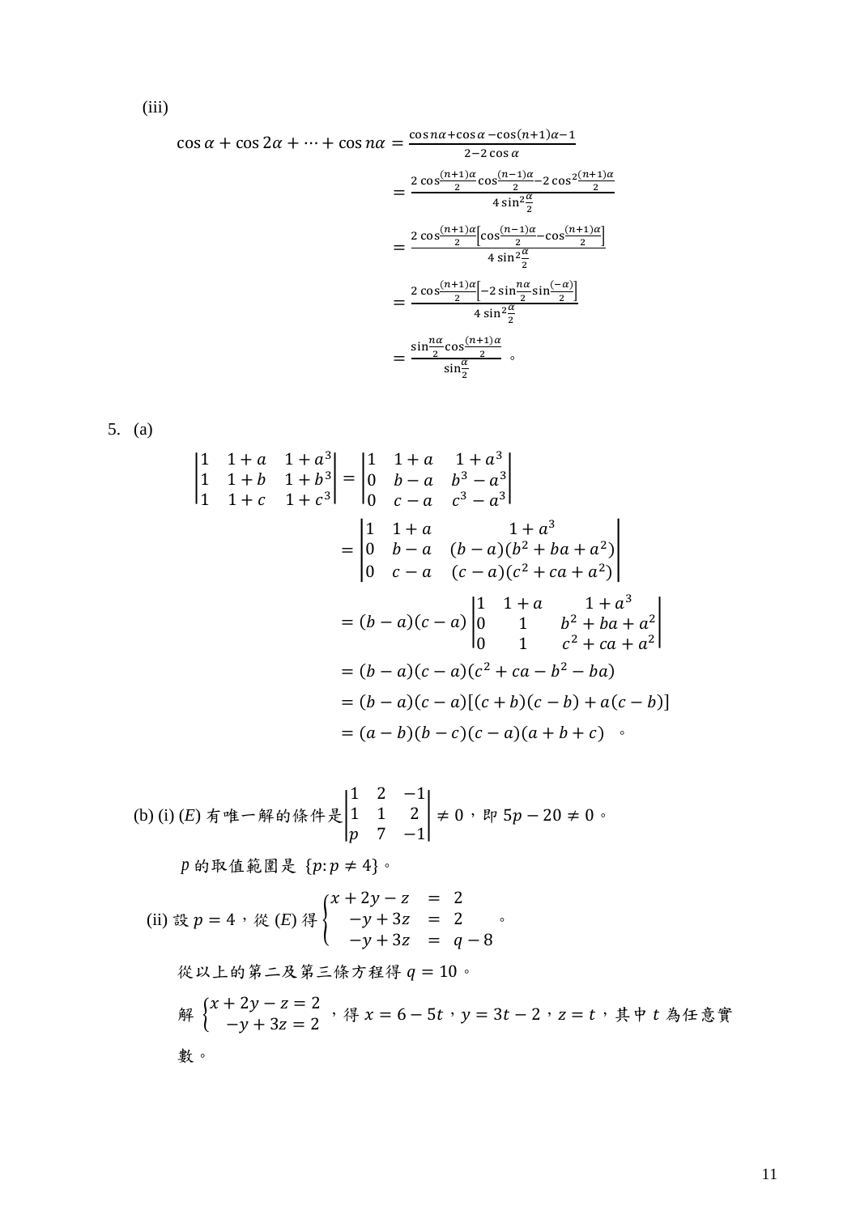$$
\cos \alpha + \cos 2\alpha + \dots + \cos n\alpha = \frac{\cos n\alpha + \cos \alpha - \cos(n+1)\alpha - 1}{2 - 2\cos \alpha}
$$

$$
= \frac{2\cos^{\frac{(n+1)\alpha}{2}}\cos^{\frac{(n-1)\alpha}{2}} - 2\cos^{\frac{2(n+1)\alpha}{2}}}{4\sin^2\frac{\alpha}{2}}
$$

$$
= \frac{2\cos^{\frac{(n+1)\alpha}{2}}[\cos^{\frac{(n-1)\alpha}{2}} - \cos^{\frac{(n+1)\alpha}{2}}]}{4\sin^2\frac{\alpha}{2}}
$$

$$
= \frac{2\cos^{\frac{(n+1)\alpha}{2}}[-2\sin\frac{n\alpha}{2}\sin^{\frac{2}{2}}]}{4\sin^2\frac{\alpha}{2}}
$$

$$
= \frac{\sin\frac{n\alpha}{2}\cos^{\frac{(n+1)\alpha}{2}}}{\sin\frac{\alpha}{2}} \circ \frac{1}{\sin\frac{\alpha}{2}}}
$$

$$
5. (a)
$$

$$
\begin{vmatrix}\n1 & 1+a & 1+a^3 \\
1 & 1+b & 1+b^3 \\
1 & 1+c & 1+c^3\n\end{vmatrix} = \begin{vmatrix}\n1 & 1+a & 1+a^3 \\
0 & b-a & b^3-a^3\n\end{vmatrix}
$$
  
\n
$$
= \begin{vmatrix}\n1 & 1+a & 1+a^3 \\
0 & b-a & (b-a)(b^2 + ba + a^2) \\
0 & c-a & (c-a)(c^2 + ca + a^2)\n\end{vmatrix}
$$
  
\n
$$
= (b-a)(c-a) \begin{vmatrix}\n1 & 1+a & 1+a^3 \\
0 & 1 & b^2 + ba + a^2\n\end{vmatrix}
$$
  
\n
$$
= (b-a)(c-a)(c^2 + ca - b^2 - ba)
$$
  
\n
$$
= (b-a)(c-a)[(c+b)(c-b) + a(c-b)]
$$
  
\n
$$
= (a-b)(b-c)(c-a)(a+b+c)
$$

(b) (i) (E) 7 
$$
\neq
$$
 6  $\neq$  6  $\neq$  6  $\neq$  7  $\neq$  1 1 2  $\neq$  0  $\neq$  5  $p - 20 \neq 0$  0

 $p$  的取值範圍是  $\{p : p \neq 4\}$ 。

 (ii) 設 = 4,從 (*E*) 得 { + 2 − = 2 − + 3 = 2 − + 3 = − 8 。 從以上的第二及第三條方程得 = 10。 解 { + 2 − = 2 − + 3 = 2 ,得 = 6 − 5, = 3 − 2, = ,其中 為任意實 數。

(iii)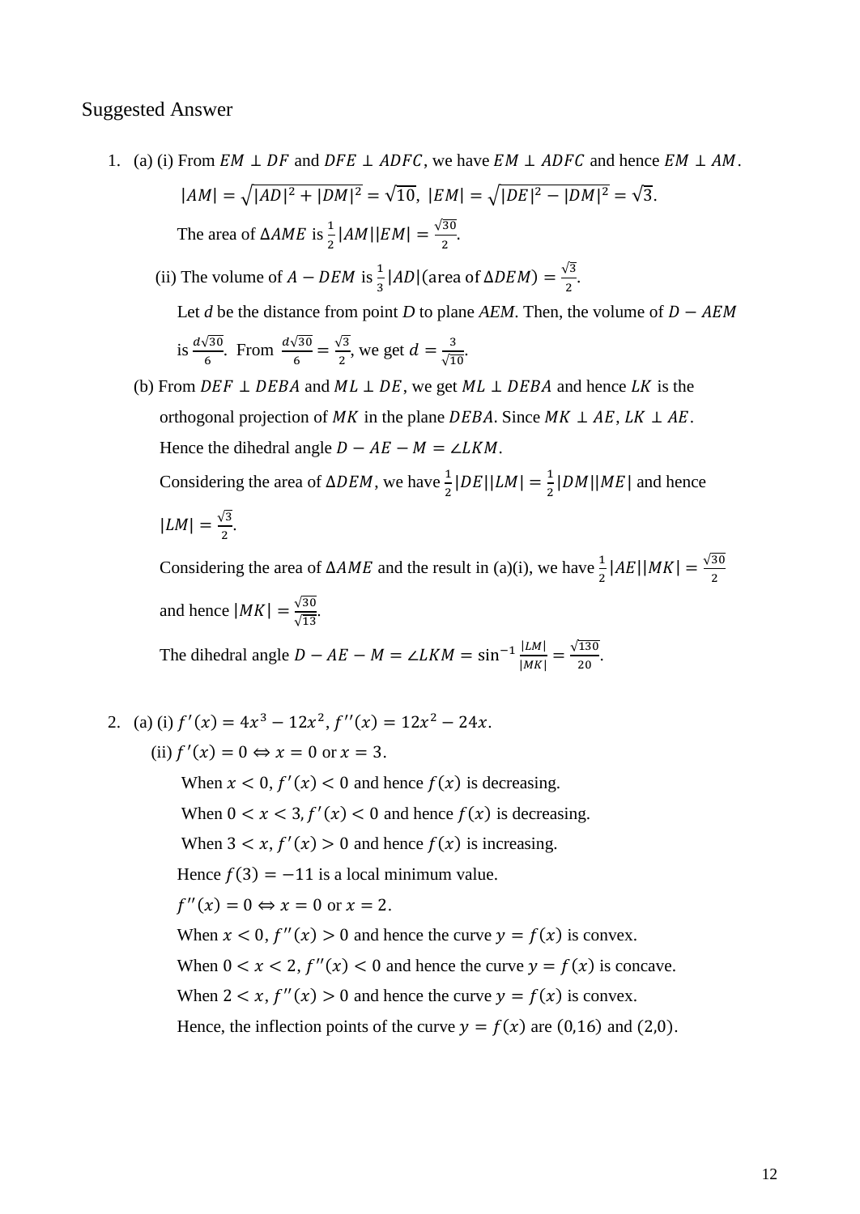#### Suggested Answer

1. (a) (i) From  $EM \perp DF$  and  $DFE \perp ADFC$ , we have  $EM \perp ADFC$  and hence  $EM \perp AM$ .  $|AM| = \sqrt{|AD|^2 + |DM|^2} = \sqrt{10}, \ |EM| = \sqrt{|DE|^2 - |DM|^2} = \sqrt{3}.$ The area of  $\triangle AME$  is  $\frac{1}{2} |AM||EM| = \frac{\sqrt{30}}{2}$  $\frac{30}{2}$ .

(ii) The volume of  $A - DEM$  is  $\frac{1}{3} |AD|$  (area of  $\triangle DEM$ ) =  $\frac{\sqrt{3}}{2}$  $\frac{12}{2}$ .

Let *d* be the distance from point *D* to plane *AEM*. Then, the volume of *D* – *AEM* is 
$$
\frac{d\sqrt{30}}{6}
$$
. From  $\frac{d\sqrt{30}}{6} = \frac{\sqrt{3}}{2}$ , we get  $d = \frac{3}{\sqrt{10}}$ .

(b) From DEF  $\perp$  DEBA and ML  $\perp$  DE, we get ML  $\perp$  DEBA and hence LK is the orthogonal projection of MK in the plane DEBA. Since  $MK \perp AE$ ,  $LK \perp AE$ . Hence the dihedral angle  $D - AE - M = \angle LKM$ .

Considering the area of  $\triangle DEM$ , we have  $\frac{1}{2} |DE||LM| = \frac{1}{2}$  $\frac{1}{2}$ |DM||ME| and hence  $|LM| = \frac{\sqrt{3}}{2}$  $\frac{13}{2}$ .

Considering the area of  $\triangle AME$  and the result in (a)(i), we have  $\frac{1}{2} |AE| |MK| = \frac{\sqrt{30}}{2}$ 2 and hence  $|MK| = \frac{\sqrt{30}}{\sqrt{30}}$  $rac{\sqrt{30}}{\sqrt{13}}$ .

The dihedral angle  $D - AE - M = \angle LKM = \sin^{-1} \frac{|LM|}{|MN|}$  $\frac{|LM|}{|MK|} = \frac{\sqrt{130}}{20}$  $\frac{130}{20}$ .

2. (a) (i)  $f'(x) = 4x^3 - 12x^2$ ,  $f''(x) = 12x^2 - 24x$ . (ii)  $f'(x) = 0 \Leftrightarrow x = 0$  or  $x = 3$ .

When  $x < 0$ ,  $f'(x) < 0$  and hence  $f(x)$  is decreasing. When  $0 < x < 3$ ,  $f'(x) < 0$  and hence  $f(x)$  is decreasing. When  $3 < x, f'(x) > 0$  and hence  $f(x)$  is increasing. Hence  $f(3) = -11$  is a local minimum value.  $f''(x) = 0 \Leftrightarrow x = 0 \text{ or } x = 2.$ When  $x < 0$ ,  $f''(x) > 0$  and hence the curve  $y = f(x)$  is convex. When  $0 < x < 2$ ,  $f''(x) < 0$  and hence the curve  $y = f(x)$  is concave. When  $2 < x$ ,  $f''(x) > 0$  and hence the curve  $y = f(x)$  is convex. Hence, the inflection points of the curve  $y = f(x)$  are (0,16) and (2,0).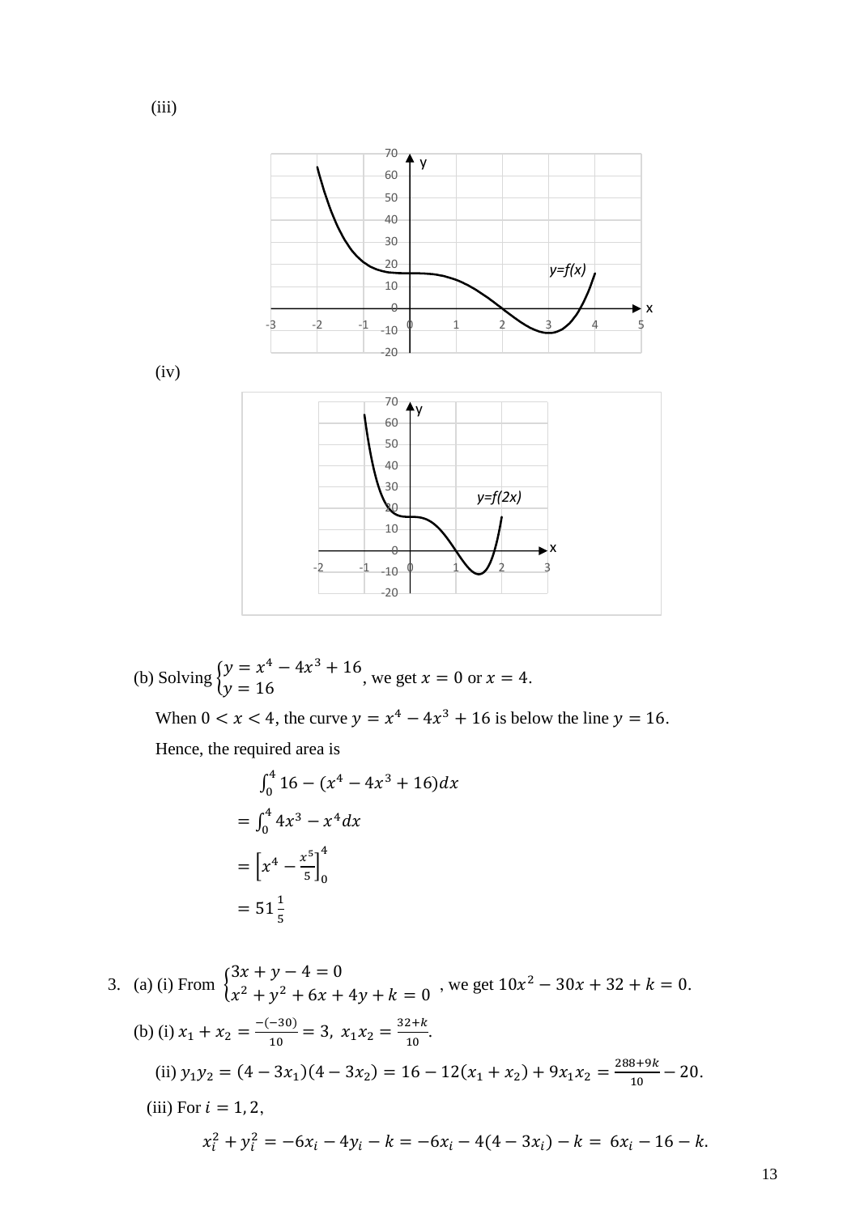

(b) Solving 
$$
\begin{cases} y = x^4 - 4x^3 + 16 \\ y = 16 \end{cases}
$$
, we get  $x = 0$  or  $x = 4$ .

When  $0 < x < 4$ , the curve  $y = x^4 - 4x^3 + 16$  is below the line  $y = 16$ . Hence, the required area is

$$
\int_0^4 16 - (x^4 - 4x^3 + 16) dx
$$
  
=  $\int_0^4 4x^3 - x^4 dx$   
=  $\left[x^4 - \frac{x^5}{5}\right]_0^4$   
=  $51\frac{1}{5}$ 

3. (a) (i) From  $\}$  $3x + y - 4 = 0$  $x^2 + y^2 + 6x + 4y + k = 0$ , we get  $10x^2 - 30x + 32 + k = 0$ . (b) (i)  $x_1 + x_2 = \frac{-(-30)}{10}$  $\frac{(-30)}{10} = 3$ ,  $x_1 x_2 = \frac{32+k}{10}$  $\frac{2\pi\pi}{10}$ . (ii)  $y_1 y_2 = (4 - 3x_1)(4 - 3x_2) = 16 - 12(x_1 + x_2) + 9x_1 x_2 = \frac{288 + 9k}{10}$  $\frac{6+3\pi}{10}$  – 20. (iii) For  $i = 1, 2$ ,  $x_i^2 + y_i^2 = -6x_i - 4y_i - k = -6x_i - 4(4 - 3x_i) - k = 6x_i - 16 - k.$ 

(iii)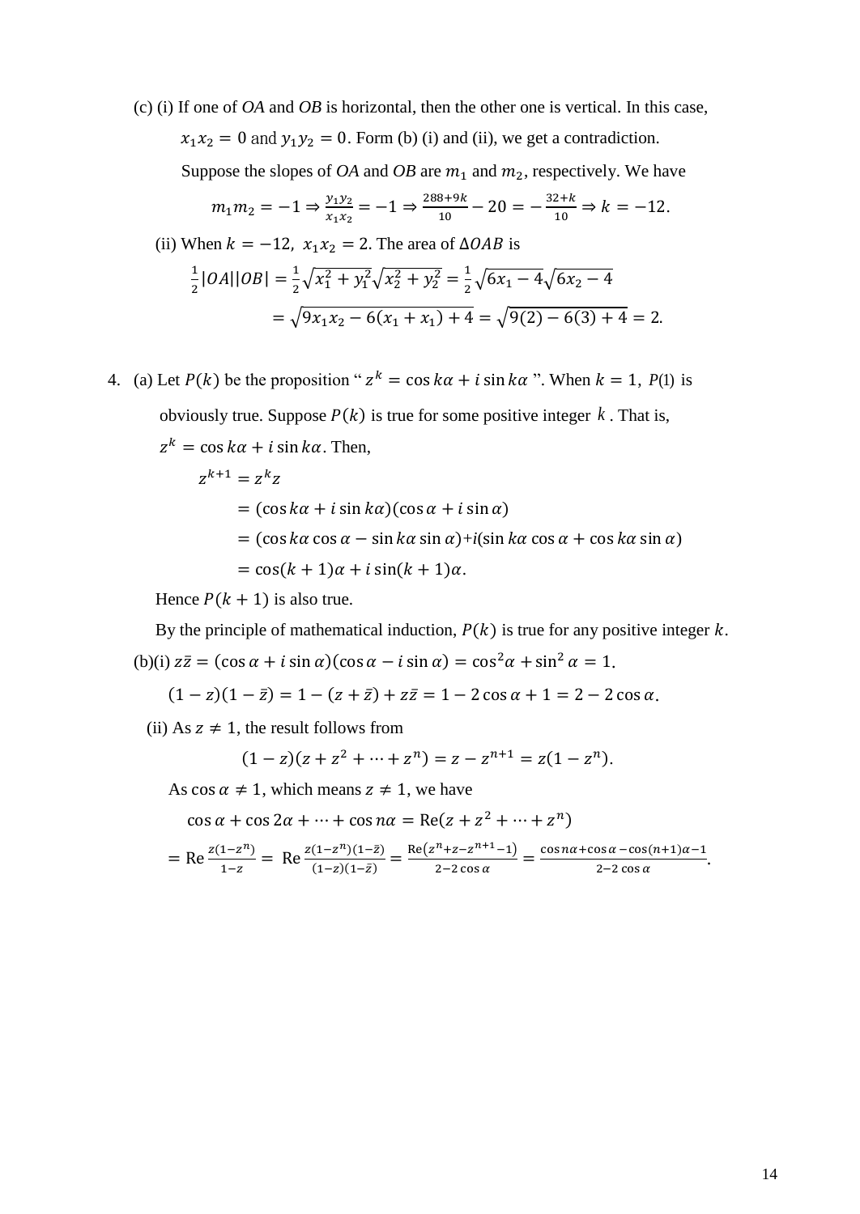(c) (i) If one of *OA* and *OB* is horizontal, then the other one is vertical. In this case,  $x_1x_2 = 0$  and  $y_1y_2 = 0$ . Form (b) (i) and (ii), we get a contradiction. Suppose the slopes of *OA* and *OB* are  $m_1$  and  $m_2$ , respectively. We have

$$
m_1 m_2 = -1 \Rightarrow \frac{y_1 y_2}{x_1 x_2} = -1 \Rightarrow \frac{288 + 9k}{10} - 20 = -\frac{32 + k}{10} \Rightarrow k = -12.
$$

(ii) When 
$$
k = -12
$$
,  $x_1x_2 = 2$ . The area of  $\triangle OAB$  is  
\n
$$
\frac{1}{2} |OA||OB| = \frac{1}{2} \sqrt{x_1^2 + y_1^2} \sqrt{x_2^2 + y_2^2} = \frac{1}{2} \sqrt{6x_1 - 4} \sqrt{6x_2 - 4}
$$
\n
$$
= \sqrt{9x_1x_2 - 6(x_1 + x_1) + 4} = \sqrt{9(2) - 6(3) + 4} = 2.
$$

4. (a) Let  $P(k)$  be the proposition "  $z^k = \cos k\alpha + i \sin k\alpha$  ". When  $k = 1$ ,  $P(1)$  is obviously true. Suppose  $P(k)$  is true for some positive integer k. That is,  $z^k = \cos k\alpha + i \sin k\alpha$ . Then,  $z^{k+1} = z^k z$  $= (\cos k\alpha + i \sin k\alpha)(\cos \alpha + i \sin \alpha)$ 

> $=$  (cos  $k\alpha$  cos  $\alpha$  – sin  $k\alpha$  sin  $\alpha$ )+*i*(sin  $k\alpha$  cos  $\alpha$  + cos  $k\alpha$  sin  $\alpha$ )  $=$  cos(k + 1) $\alpha$  + i sin(k + 1) $\alpha$ .

Hence  $P(k + 1)$  is also true.

By the principle of mathematical induction,  $P(k)$  is true for any positive integer k. (b)(i)  $z\overline{z} = (\cos \alpha + i \sin \alpha)(\cos \alpha - i \sin \alpha) = \cos^2 \alpha + \sin^2 \alpha = 1.$ 

$$
(1-z)(1-\bar{z}) = 1 - (z+\bar{z}) + z\bar{z} = 1 - 2\cos\alpha + 1 = 2 - 2\cos\alpha.
$$

(ii) As  $z \neq 1$ , the result follows from

$$
(1-z)(z+z^2+\cdots+z^n)=z-z^{n+1}=z(1-z^n).
$$

As  $\cos \alpha \neq 1$ , which means  $z \neq 1$ , we have

 $\cos \alpha + \cos 2\alpha + \cdots + \cos n\alpha = \text{Re}(z + z^2 + \cdots + z^n)$ 

$$
= \text{Re}\frac{z(1-z^n)}{1-z} = \text{Re}\frac{z(1-z^n)(1-\bar{z})}{(1-z)(1-\bar{z})} = \frac{\text{Re}(z^n+z-z^{n+1}-1)}{2-2\cos\alpha} = \frac{\cos n\alpha + \cos\alpha - \cos(n+1)\alpha - 1}{2-2\cos\alpha}.
$$